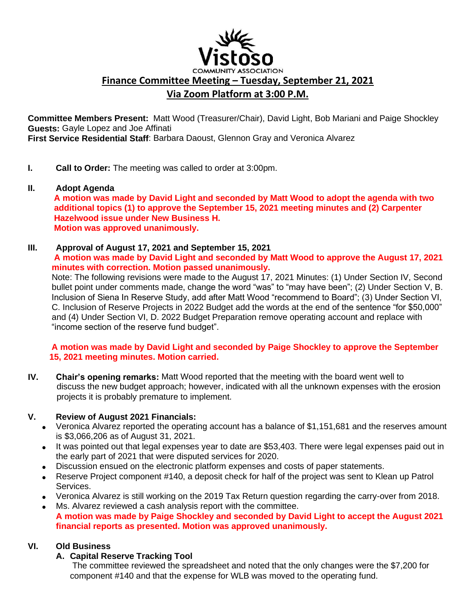

**Finance Committee Meeting – Tuesday, September 21, 2021**

# **Via Zoom Platform at 3:00 P.M.**

**Committee Members Present:** Matt Wood (Treasurer/Chair), David Light, Bob Mariani and Paige Shockley **Guests:** Gayle Lopez and Joe Affinati

**First Service Residential Staff**: Barbara Daoust, Glennon Gray and Veronica Alvarez

- **I. Call to Order:** The meeting was called to order at 3:00pm.
- **II. Adopt Agenda**

 **A motion was made by David Light and seconded by Matt Wood to adopt the agenda with two additional topics (1) to approve the September 15, 2021 meeting minutes and (2) Carpenter Hazelwood issue under New Business H. Motion was approved unanimously.** 

#### **III. Approval of August 17, 2021 and September 15, 2021 A motion was made by David Light and seconded by Matt Wood to approve the August 17, 2021 minutes with correction. Motion passed unanimously.**

 Note: The following revisions were made to the August 17, 2021 Minutes: (1) Under Section IV, Second bullet point under comments made, change the word "was" to "may have been"; (2) Under Section V, B. Inclusion of Siena In Reserve Study, add after Matt Wood "recommend to Board"; (3) Under Section VI, C. Inclusion of Reserve Projects in 2022 Budget add the words at the end of the sentence "for \$50,000" and (4) Under Section VI, D. 2022 Budget Preparation remove operating account and replace with "income section of the reserve fund budget".

### **A motion was made by David Light and seconded by Paige Shockley to approve the September 15, 2021 meeting minutes. Motion carried.**

**IV. Chair's opening remarks:** Matt Wood reported that the meeting with the board went well to discuss the new budget approach; however, indicated with all the unknown expenses with the erosion projects it is probably premature to implement.

## **V. Review of August 2021 Financials:**

- Veronica Alvarez reported the operating account has a balance of \$1,151,681 and the reserves amount is \$3,066,206 as of August 31, 2021.
- It was pointed out that legal expenses year to date are \$53,403. There were legal expenses paid out in the early part of 2021 that were disputed services for 2020.
- Discussion ensued on the electronic platform expenses and costs of paper statements.
- Reserve Project component #140, a deposit check for half of the project was sent to Klean up Patrol Services.
- Veronica Alvarez is still working on the 2019 Tax Return question regarding the carry-over from 2018.
- Ms. Alvarez reviewed a cash analysis report with the committee. **A motion was made by Paige Shockley and seconded by David Light to accept the August 2021 financial reports as presented. Motion was approved unanimously.**

## **VI. Old Business**

## **A. Capital Reserve Tracking Tool**

The committee reviewed the spreadsheet and noted that the only changes were the \$7,200 for component #140 and that the expense for WLB was moved to the operating fund.